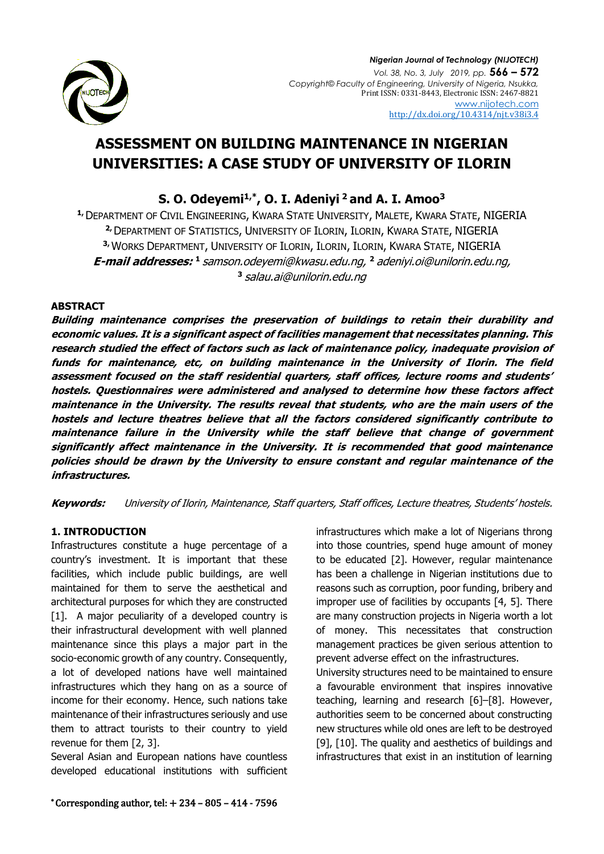

# **ASSESSMENT ON BUILDING MAINTENANCE IN NIGERIAN UNIVERSITIES: A CASE STUDY OF UNIVERSITY OF ILORIN**

**S. O. Odeyemi1,\*, O. I. Adeniyi <sup>2</sup>and A. I. Amoo<sup>3</sup>**

**1,**DEPARTMENT OF CIVIL ENGINEERING, KWARA STATE UNIVERSITY, MALETE, KWARA STATE, NIGERIA **2,**DEPARTMENT OF STATISTICS, UNIVERSITY OF ILORIN, ILORIN, KWARA STATE, NIGERIA **3,** WORKS DEPARTMENT, UNIVERSITY OF ILORIN, ILORIN, ILORIN, KWARA STATE, NIGERIA **E-mail addresses: 1** [samson.odeyemi@kwasu.edu.ng,](mailto:samson.odeyemi@kwasu.edu.ng) **<sup>2</sup>** [adeniyi.oi@unilorin.edu.ng,](mailto:adeniyi.oi@unilorin.edu.ng) **3** [salau.ai@u](mailto:salau.ai@)nilorin.edu.ng

# **ABSTRACT**

**Building maintenance comprises the preservation of buildings to retain their durability and economic values. It is a significant aspect of facilities management that necessitates planning. This research studied the effect of factors such as lack of maintenance policy, inadequate provision of funds for maintenance, etc, on building maintenance in the University of Ilorin. The field assessment focused on the staff residential quarters, staff offices, lecture rooms and students' hostels. Questionnaires were administered and analysed to determine how these factors affect maintenance in the University. The results reveal that students, who are the main users of the hostels and lecture theatres believe that all the factors considered significantly contribute to maintenance failure in the University while the staff believe that change of government significantly affect maintenance in the University. It is recommended that good maintenance policies should be drawn by the University to ensure constant and regular maintenance of the infrastructures.**

**Keywords:** University of Ilorin, Maintenance, Staff quarters, Staff offices, Lecture theatres, Students' hostels.

# **1. INTRODUCTION**

Infrastructures constitute a huge percentage of a country's investment. It is important that these facilities, which include public buildings, are well maintained for them to serve the aesthetical and architectural purposes for which they are constructed [1]. A major peculiarity of a developed country is their infrastructural development with well planned maintenance since this plays a major part in the socio-economic growth of any country. Consequently, a lot of developed nations have well maintained infrastructures which they hang on as a source of income for their economy. Hence, such nations take maintenance of their infrastructures seriously and use them to attract tourists to their country to yield revenue for them [2, 3].

Several Asian and European nations have countless developed educational institutions with sufficient infrastructures which make a lot of Nigerians throng into those countries, spend huge amount of money to be educated [2]. However, regular maintenance has been a challenge in Nigerian institutions due to reasons such as corruption, poor funding, bribery and improper use of facilities by occupants [4, 5]. There are many construction projects in Nigeria worth a lot of money. This necessitates that construction management practices be given serious attention to prevent adverse effect on the infrastructures.

University structures need to be maintained to ensure a favourable environment that inspires innovative teaching, learning and research [6]–[8]. However, authorities seem to be concerned about constructing new structures while old ones are left to be destroyed [9], [10]. The quality and aesthetics of buildings and infrastructures that exist in an institution of learning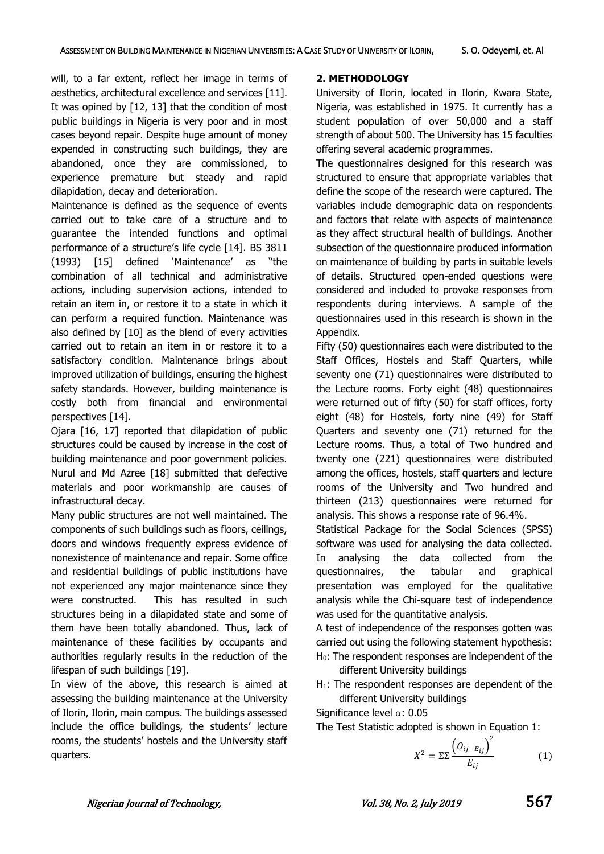will, to a far extent, reflect her image in terms of aesthetics, architectural excellence and services [11]. It was opined by [12, 13] that the condition of most public buildings in Nigeria is very poor and in most cases beyond repair. Despite huge amount of money expended in constructing such buildings, they are abandoned, once they are commissioned, to experience premature but steady and rapid dilapidation, decay and deterioration.

Maintenance is defined as the sequence of events carried out to take care of a structure and to guarantee the intended functions and optimal performance of a structure's life cycle [14]. BS 3811 (1993) [15] defined 'Maintenance' as "the combination of all technical and administrative actions, including supervision actions, intended to retain an item in, or restore it to a state in which it can perform a required function. Maintenance was also defined by [10] as the blend of every activities carried out to retain an item in or restore it to a satisfactory condition. Maintenance brings about improved utilization of buildings, ensuring the highest safety standards. However, building maintenance is costly both from financial and environmental perspectives [14].

Ojara [16, 17] reported that dilapidation of public structures could be caused by increase in the cost of building maintenance and poor government policies. Nurul and Md Azree [18] submitted that defective materials and poor workmanship are causes of infrastructural decay.

Many public structures are not well maintained. The components of such buildings such as floors, ceilings, doors and windows frequently express evidence of nonexistence of maintenance and repair. Some office and residential buildings of public institutions have not experienced any major maintenance since they were constructed. This has resulted in such structures being in a dilapidated state and some of them have been totally abandoned. Thus, lack of maintenance of these facilities by occupants and authorities regularly results in the reduction of the lifespan of such buildings [19].

In view of the above, this research is aimed at assessing the building maintenance at the University of Ilorin, Ilorin, main campus. The buildings assessed include the office buildings, the students' lecture rooms, the students' hostels and the University staff quarters.

# **2. METHODOLOGY**

University of Ilorin, located in Ilorin, Kwara State, Nigeria, was established in 1975. It currently has a student population of over 50,000 and a staff strength of about 500. The University has 15 faculties offering several academic programmes.

The questionnaires designed for this research was structured to ensure that appropriate variables that define the scope of the research were captured. The variables include demographic data on respondents and factors that relate with aspects of maintenance as they affect structural health of buildings. Another subsection of the questionnaire produced information on maintenance of building by parts in suitable levels of details. Structured open-ended questions were considered and included to provoke responses from respondents during interviews. A sample of the questionnaires used in this research is shown in the Appendix.

Fifty (50) questionnaires each were distributed to the Staff Offices, Hostels and Staff Quarters, while seventy one (71) questionnaires were distributed to the Lecture rooms. Forty eight (48) questionnaires were returned out of fifty (50) for staff offices, forty eight (48) for Hostels, forty nine (49) for Staff Quarters and seventy one (71) returned for the Lecture rooms. Thus, a total of Two hundred and twenty one (221) questionnaires were distributed among the offices, hostels, staff quarters and lecture rooms of the University and Two hundred and thirteen (213) questionnaires were returned for analysis. This shows a response rate of 96.4%.

Statistical Package for the Social Sciences (SPSS) software was used for analysing the data collected. In analysing the data collected from the questionnaires, the tabular and graphical presentation was employed for the qualitative analysis while the Chi-square test of independence was used for the quantitative analysis.

A test of independence of the responses gotten was carried out using the following statement hypothesis: H0: The respondent responses are independent of the

different University buildings

H<sub>1</sub>: The respondent responses are dependent of the different University buildings

Significance level α: 0.05

The Test Statistic adopted is shown in Equation 1:

$$
X^{2} = \Sigma \Sigma \frac{\left(O_{ij-E_{ij}}\right)^{2}}{E_{ij}} \tag{1}
$$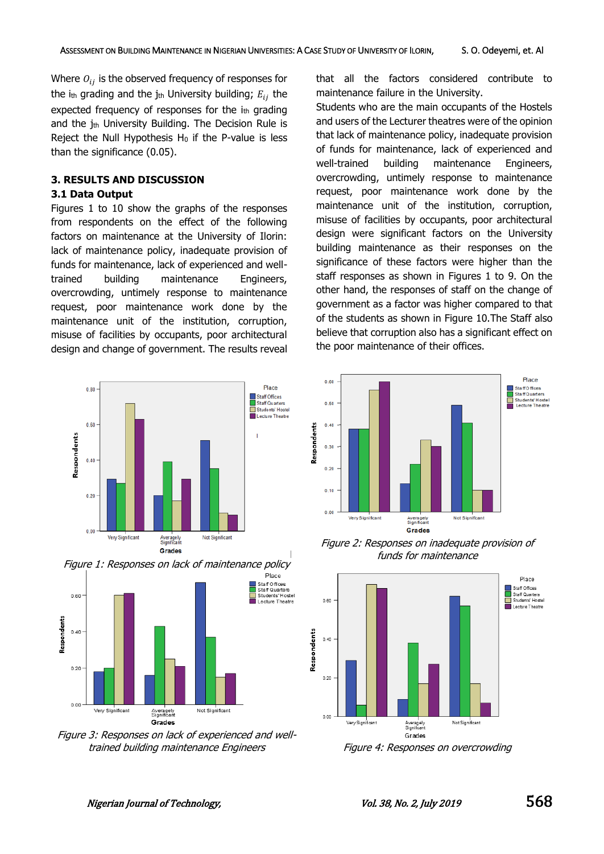Where  $O_{ij}$  is the observed frequency of responses for the ith grading and the jth University building;  $E_{ij}$  the expected frequency of responses for the  $i<sub>th</sub>$  grading and the jth University Building. The Decision Rule is Reject the Null Hypothesis  $H_0$  if the P-value is less than the significance (0.05).

## **3. RESULTS AND DISCUSSION 3.1 Data Output**

Figures 1 to 10 show the graphs of the responses from respondents on the effect of the following factors on maintenance at the University of Ilorin: lack of maintenance policy, inadequate provision of funds for maintenance, lack of experienced and welltrained building maintenance Engineers, overcrowding, untimely response to maintenance request, poor maintenance work done by the maintenance unit of the institution, corruption, misuse of facilities by occupants, poor architectural design and change of government. The results reveal





Figure 3: Responses on lack of experienced and welltrained building maintenance Engineers Figure 4: Responses on overcrowding

that all the factors considered contribute to maintenance failure in the University.

Students who are the main occupants of the Hostels and users of the Lecturer theatres were of the opinion that lack of maintenance policy, inadequate provision of funds for maintenance, lack of experienced and well-trained building maintenance Engineers, overcrowding, untimely response to maintenance request, poor maintenance work done by the maintenance unit of the institution, corruption, misuse of facilities by occupants, poor architectural design were significant factors on the University building maintenance as their responses on the significance of these factors were higher than the staff responses as shown in Figures 1 to 9. On the other hand, the responses of staff on the change of government as a factor was higher compared to that of the students as shown in Figure 10.The Staff also believe that corruption also has a significant effect on the poor maintenance of their offices.



Figure 2: Responses on inadequate provision of funds for maintenance

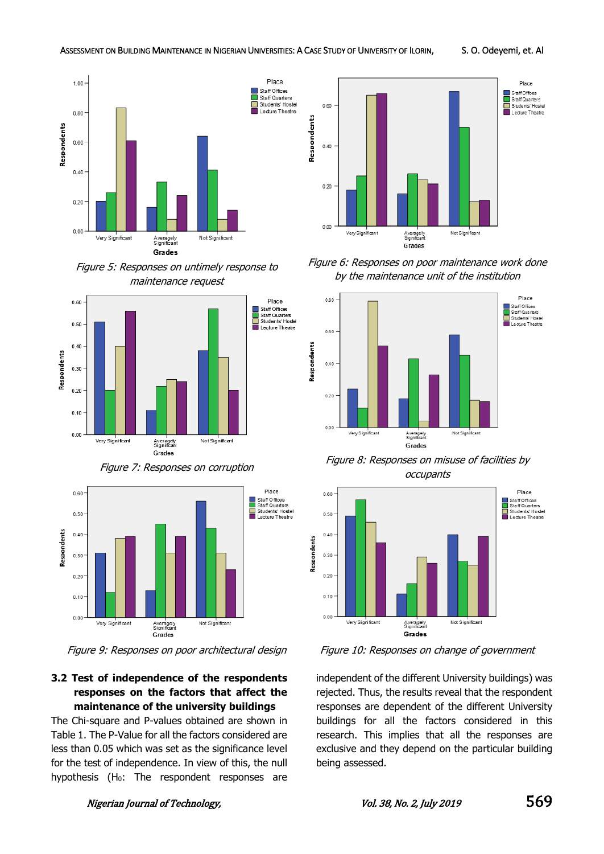

Figure 5: Responses on untimely response to maintenance request



Figure 7: Responses on corruption



Figure 9: Responses on poor architectural design Figure 10: Responses on change of government

# **3.2 Test of independence of the respondents responses on the factors that affect the maintenance of the university buildings**

The Chi-square and P-values obtained are shown in Table 1. The P-Value for all the factors considered are less than 0.05 which was set as the significance level for the test of independence. In view of this, the null hypothesis (H<sub>0</sub>: The respondent responses are



Figure 6: Responses on poor maintenance work done by the maintenance unit of the institution



Figure 8: Responses on misuse of facilities by occupants



independent of the different University buildings) was rejected. Thus, the results reveal that the respondent responses are dependent of the different University buildings for all the factors considered in this research. This implies that all the responses are exclusive and they depend on the particular building being assessed.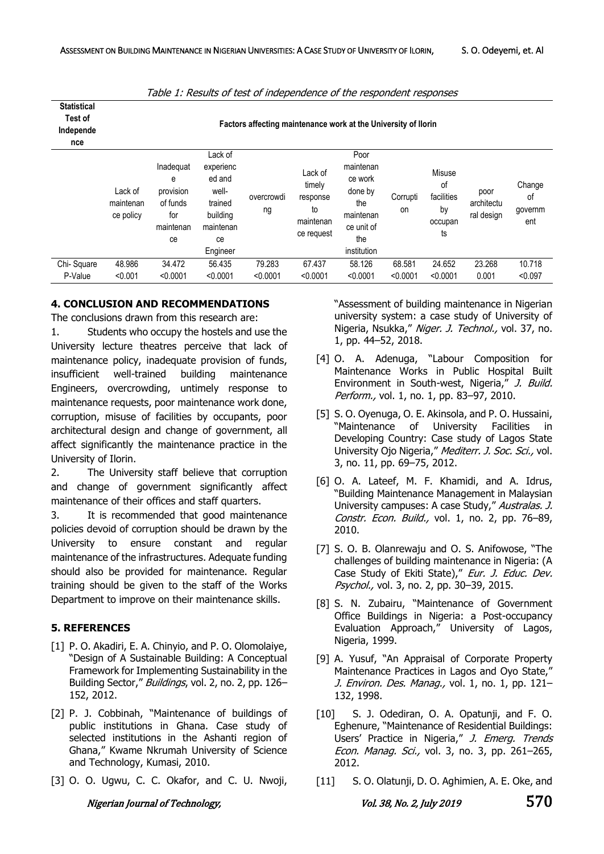| . abic 11 Repairs of test of macpenaciles of the respondent responses |                                                                |                                                                   |                                                                                               |                  |                                                                |                                                                                                 |                |                                                   |                                  |                                |
|-----------------------------------------------------------------------|----------------------------------------------------------------|-------------------------------------------------------------------|-----------------------------------------------------------------------------------------------|------------------|----------------------------------------------------------------|-------------------------------------------------------------------------------------------------|----------------|---------------------------------------------------|----------------------------------|--------------------------------|
| <b>Statistical</b><br>Test of<br>Independe<br>nce                     | Factors affecting maintenance work at the University of Ilorin |                                                                   |                                                                                               |                  |                                                                |                                                                                                 |                |                                                   |                                  |                                |
|                                                                       | Lack of<br>maintenan<br>ce policy                              | Inadequat<br>е<br>provision<br>of funds<br>for<br>maintenan<br>ce | Lack of<br>experienc<br>ed and<br>well-<br>trained<br>building<br>maintenan<br>ce<br>Engineer | overcrowdi<br>ng | Lack of<br>timely<br>response<br>to<br>maintenan<br>ce request | Poor<br>maintenan<br>ce work<br>done by<br>the<br>maintenan<br>ce unit of<br>the<br>institution | Corrupti<br>on | Misuse<br>of<br>facilities<br>by<br>occupan<br>ts | poor<br>architectu<br>ral design | Change<br>οf<br>governm<br>ent |
| Chi-Square                                                            | 48.986                                                         | 34.472                                                            | 56.435                                                                                        | 79.283           | 67.437                                                         | 58.126                                                                                          | 68.581         | 24.652                                            | 23.268                           | 10.718                         |
| P-Value                                                               | < 0.001                                                        | < 0.0001                                                          | < 0.0001                                                                                      | < 0.0001         | < 0.0001                                                       | < 0.0001                                                                                        | < 0.0001       | < 0.0001                                          | 0.001                            | < 0.097                        |

Table 1: Results of test of independence of the respondent responses

## **4. CONCLUSION AND RECOMMENDATIONS**

The conclusions drawn from this research are:

1. Students who occupy the hostels and use the University lecture theatres perceive that lack of maintenance policy, inadequate provision of funds, insufficient well-trained building maintenance Engineers, overcrowding, untimely response to maintenance requests, poor maintenance work done, corruption, misuse of facilities by occupants, poor architectural design and change of government, all affect significantly the maintenance practice in the University of Ilorin.

2. The University staff believe that corruption and change of government significantly affect maintenance of their offices and staff quarters.

3. It is recommended that good maintenance policies devoid of corruption should be drawn by the University to ensure constant and regular maintenance of the infrastructures. Adequate funding should also be provided for maintenance. Regular training should be given to the staff of the Works Department to improve on their maintenance skills.

## **5. REFERENCES**

- [1] P. O. Akadiri, E. A. Chinyio, and P. O. Olomolaiye, "Design of A Sustainable Building: A Conceptual Framework for Implementing Sustainability in the Building Sector," Buildings, vol. 2, no. 2, pp. 126-152, 2012.
- [2] P. J. Cobbinah, "Maintenance of buildings of public institutions in Ghana. Case study of selected institutions in the Ashanti region of Ghana," Kwame Nkrumah University of Science and Technology, Kumasi, 2010.
- [3] O. O. Ugwu, C. C. Okafor, and C. U. Nwoji,

"Assessment of building maintenance in Nigerian university system: a case study of University of Nigeria, Nsukka," Niger. J. Technol., vol. 37, no. 1, pp. 44–52, 2018.

- [4] O. A. Adenuga, "Labour Composition for Maintenance Works in Public Hospital Built Environment in South-west, Nigeria," J. Build. Perform., vol. 1, no. 1, pp. 83-97, 2010.
- [5] S. O. Oyenuga, O. E. Akinsola, and P. O. Hussaini, "Maintenance of University Facilities in Developing Country: Case study of Lagos State University Ojo Nigeria," Mediterr. J. Soc. Sci., vol. 3, no. 11, pp. 69–75, 2012.
- [6] O. A. Lateef, M. F. Khamidi, and A. Idrus, "Building Maintenance Management in Malaysian University campuses: A case Study," Australas. J. Constr. Econ. Build., vol. 1, no. 2, pp. 76–89, 2010.
- [7] S. O. B. Olanrewaju and O. S. Anifowose, "The challenges of building maintenance in Nigeria: (A Case Study of Ekiti State)," Eur. J. Educ. Dev. Psychol., vol. 3, no. 2, pp. 30-39, 2015.
- [8] S. N. Zubairu, "Maintenance of Government Office Buildings in Nigeria: a Post-occupancy Evaluation Approach," University of Lagos, Nigeria, 1999.
- [9] A. Yusuf, "An Appraisal of Corporate Property Maintenance Practices in Lagos and Oyo State," J. Environ. Des. Manag., vol. 1, no. 1, pp. 121-132, 1998.
- [10] S. J. Odediran, O. A. Opatunji, and F. O. Eghenure, "Maintenance of Residential Buildings: Users' Practice in Nigeria," J. Emerg. Trends Econ. Manag. Sci., vol. 3, no. 3, pp. 261–265, 2012.
- [11] S. O. Olatunji, D. O. Aghimien, A. E. Oke, and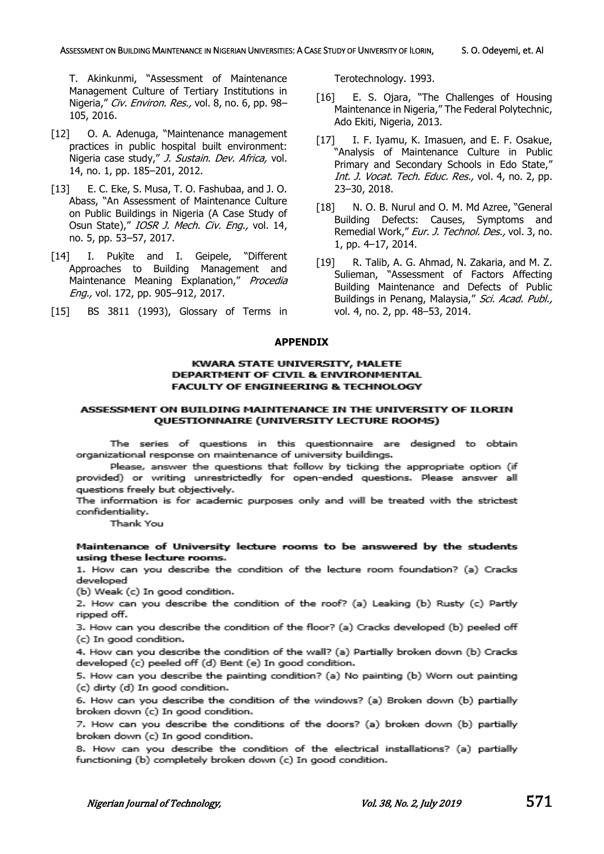T. Akinkunmi, "Assessment of Maintenance Management Culture of Tertiary Institutions in Nigeria," Civ. Environ. Res., vol. 8, no. 6, pp. 98-105, 2016.

- [12] O. A. Adenuga, "Maintenance management practices in public hospital built environment: Nigeria case study," J. Sustain. Dev. Africa, vol. 14, no. 1, pp. 185–201, 2012.
- [13] E. C. Eke, S. Musa, T. O. Fashubaa, and J. O. Abass, "An Assessment of Maintenance Culture on Public Buildings in Nigeria (A Case Study of Osun State)," IOSR J. Mech. Civ. Eng., vol. 14, no. 5, pp. 53–57, 2017.
- [14] I. Puķīte and I. Geipele, "Different Approaches to Building Management and Maintenance Meaning Explanation," Procedia Eng., vol. 172, pp. 905–912, 2017.
- [15] BS 3811 (1993), Glossary of Terms in

Terotechnology. 1993.

- [16] E. S. Ojara, "The Challenges of Housing Maintenance in Nigeria," The Federal Polytechnic, Ado Ekiti, Nigeria, 2013.
- [17] I. F. Iyamu, K. Imasuen, and E. F. Osakue, "Analysis of Maintenance Culture in Public Primary and Secondary Schools in Edo State," Int. J. Vocat. Tech. Educ. Res., vol. 4, no. 2, pp. 23–30, 2018.
- [18] N. O. B. Nurul and O. M. Md Azree, "General Building Defects: Causes, Symptoms and Remedial Work," Eur. J. Technol. Des., vol. 3, no. 1, pp. 4–17, 2014.
- [19] R. Talib, A. G. Ahmad, N. Zakaria, and M. Z. Sulieman, "Assessment of Factors Affecting Building Maintenance and Defects of Public Buildings in Penang, Malaysia," Sci. Acad. Publ., vol. 4, no. 2, pp. 48–53, 2014.

#### **APPENDIX**

#### KWARA STATE UNIVERSITY, MALETE DEPARTMENT OF CIVIL & ENVIRONMENTAL **FACULTY OF ENGINEERING & TECHNOLOGY**

#### ASSESSMENT ON BUILDING MAINTENANCE IN THE UNIVERSITY OF ILORIN QUESTIONNAIRE (UNIVERSITY LECTURE ROOMS)

The series of questions in this questionnaire are designed to obtain organizational response on maintenance of university buildings.

Please, answer the questions that follow by ticking the appropriate option (if provided) or writing unrestrictedly for open-ended questions. Please answer all questions freely but objectively.

The information is for academic purposes only and will be treated with the strictest confidentiality.

Thank You

#### Maintenance of University lecture rooms to be answered by the students using these lecture rooms.

1. How can you describe the condition of the lecture room foundation? (a) Cracks developed

(b) Weak (c) In good condition.

2. How can you describe the condition of the roof? (a) Leaking (b) Rusty (c) Partly ripped off.

3. How can you describe the condition of the floor? (a) Cracks developed (b) peeled off (c) In good condition.

4. How can you describe the condition of the wall? (a) Partially broken down (b) Cracks developed (c) peeled off (d) Bent (e) In good condition.

5. How can you describe the painting condition? (a) No painting (b) Worn out painting (c) dirty (d) In good condition.

6. How can you describe the condition of the windows? (a) Broken down (b) partially broken down (c) In good condition.

7. How can you describe the conditions of the doors? (a) broken down (b) partially broken down (c) In good condition.

8. How can you describe the condition of the electrical installations? (a) partially functioning (b) completely broken down (c) In good condition.